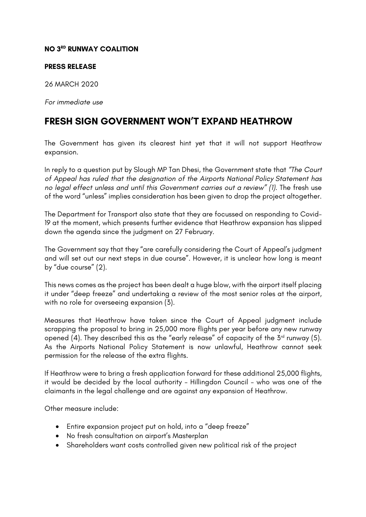### **NO 3RD RUNWAY COALITION**

#### **PRESS RELEASE**

26 MARCH 2020

*For immediate use*

# **FRESH SIGN GOVERNMENT WON'T EXPAND HEATHROW**

The Government has given its clearest hint yet that it will not support Heathrow expansion.

In reply to a question put by Slough MP Tan Dhesi, the Government state that *"The Court of Appeal has ruled that the designation of the Airports National Policy Statement has no legal effect unless and until this Government carries out a review" (1).* The fresh use of the word "unless" implies consideration has been given to drop the project altogether.

The Department for Transport also state that they are focussed on responding to Covid-19 at the moment, which presents further evidence that Heathrow expansion has slipped down the agenda since the judgment on 27 February.

The Government say that they "are carefully considering the Court of Appeal's judgment and will set out our next steps in due course". However, it is unclear how long is meant by "due course" (2).

This news comes as the project has been dealt a huge blow, with the airport itself placing it under "deep freeze" and undertaking a review of the most senior roles at the airport, with no role for overseeing expansion (3).

Measures that Heathrow have taken since the Court of Appeal judgment include scrapping the proposal to bring in 25,000 more flights per year before any new runway opened (4). They described this as the "early release" of capacity of the  $5<sup>rd</sup>$  runway (5). As the Airports National Policy Statement is now unlawful, Heathrow cannot seek permission for the release of the extra flights.

If Heathrow were to bring a fresh application forward for these additional 25,000 flights, it would be decided by the local authority – Hillingdon Council – who was one of the claimants in the legal challenge and are against any expansion of Heathrow.

Other measure include:

- Entire expansion project put on hold, into a "deep freeze"
- No fresh consultation on airport's Masterplan
- Shareholders want costs controlled given new political risk of the project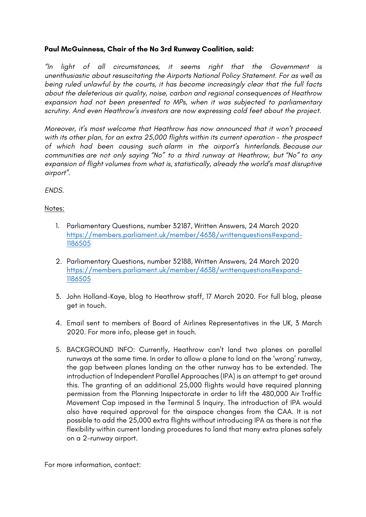### **Paul McGuinness, Chair of the No 3rd Runway Coalition, said:**

*"In light of all circumstances, it seems right that the Government is unenthusiastic about resuscitating the Airports National Policy Statement. For as well as being ruled unlawful by the courts, it has become increasingly clear that the full facts about the deleterious air quality, noise, carbon and regional consequences of Heathrow expansion had not been presented to MPs, when it was subjected to parliamentary scrutiny. And even Heathrow's investors are now expressing cold feet about the project.*

*Moreover, it's most welcome that Heathrow has now announced that it won't proceed with its other plan, for an extra 25,000 flights within its current operation - the prospect of which had been causing such alarm in the airport's hinterlands. Because our communities are not only saying "No" to a third runway at Heathrow, but "No" to any expansion of flight volumes from what is, statistically, already the world's most disruptive airport".*

*ENDS.*

## Notes:

- 1. Parliamentary Questions, number 32187, Written Answers, 24 March 2020 https://members.parliament.uk/member/4638/writtenquestions#expand-1186505
- 2. Parliamentary Questions, number 32188, Written Answers, 24 March 2020 https://members.parliament.uk/member/4638/writtenquestions#expand-1186505
- 3. John Holland-Kaye, blog to Heathrow staff, 17 March 2020. For full blog, please get in touch.
- 4. Email sent to members of Board of Airlines Representatives in the UK, 3 March 2020. For more info, please get in touch.
- 5. BACKGROUND INFO: Currently, Heathrow can't land two planes on parallel runways at the same time. In order to allow a plane to land on the 'wrong' runway, the gap between planes landing on the other runway has to be extended. The introduction of Independent Parallel Approaches (IPA) is an attempt to get around this. The granting of an additional 25,000 flights would have required planning permission from the Planning Inspectorate in order to lift the 480,000 Air Traffic Movement Cap imposed in the Terminal 5 Inquiry. The introduction of IPA would also have required approval for the airspace changes from the CAA. It is not possible to add the 25,000 extra flights without introducing IPA as there is not the flexibility within current landing procedures to land that many extra planes safely on a 2-runway airport.

For more information, contact: